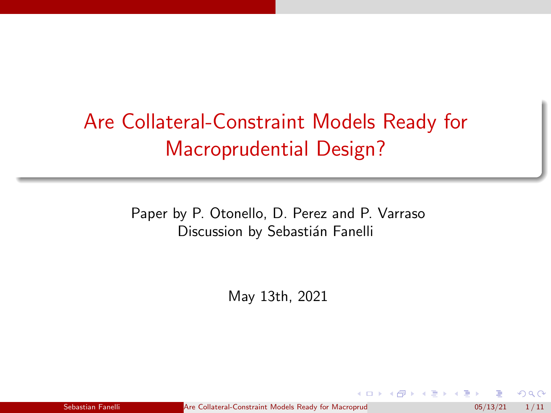# <span id="page-0-0"></span>Are Collateral-Constraint Models Ready for Macroprudential Design?

Paper by P. Otonello, D. Perez and P. Varraso Discussion by Sebastián Fanelli

May 13th, 2021

Sebastian Fanelli **Are Collateral-Constraint Models Ready for Macroprud Constraint** 05/13/21 1/11

( ロ ) ( <sub>何</sub> ) ( ヨ ) ( ヨ

 $\Omega$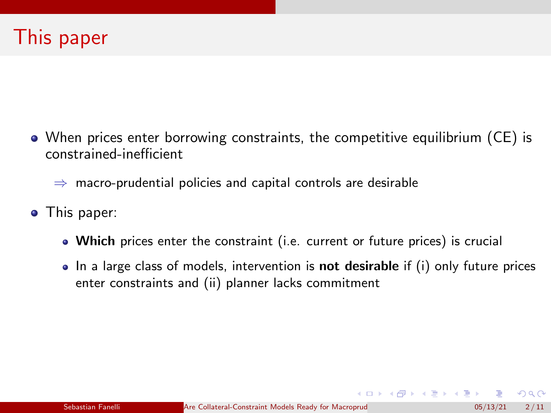When prices enter borrowing constraints, the competitive equilibrium (CE) is constrained-inefficient

 $\Rightarrow$  macro-prudential policies and capital controls are desirable

- This paper:
	- Which prices enter the constraint (i.e. current or future prices) is crucial
	- $\bullet$  In a large class of models, intervention is **not desirable** if (i) only future prices enter constraints and (ii) planner lacks commitment

 $\Omega$ 

K ロ ▶ K 御 ▶ K 君 ▶ K 君 ▶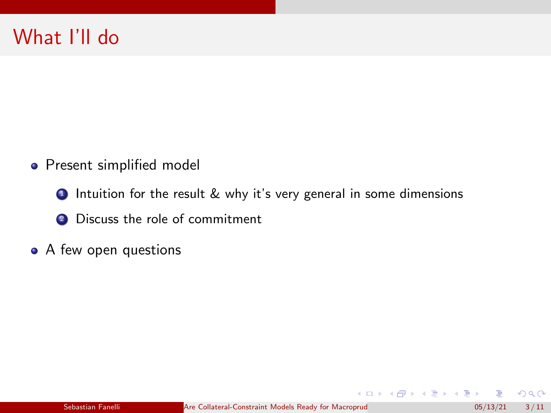- **•** Present simplified model
	- **1** Intuition for the result & why it's very general in some dimensions
	- <sup>2</sup> Discuss the role of commitment
- A few open questions

 $299$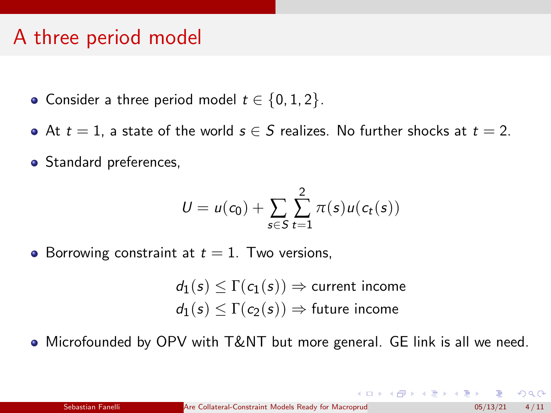## A three period model

- Consider a three period model  $t \in \{0, 1, 2\}$ .
- At  $t = 1$ , a state of the world  $s \in S$  realizes. No further shocks at  $t = 2$ .
- Standard preferences,

$$
U = u(c_0) + \sum_{s \in S} \sum_{t=1}^2 \pi(s) u(c_t(s))
$$

• Borrowing constraint at  $t = 1$ . Two versions,

 $d_1(s) \leq \Gamma(c_1(s)) \Rightarrow$  current income  $d_1(s) \leq \Gamma(c_2(s)) \Rightarrow$  future income

 $\bullet$  Microfounded by OPV with T&NT but more general. GE link is all we need.

 $\Omega$ 

イロト イ部 トイモト イモト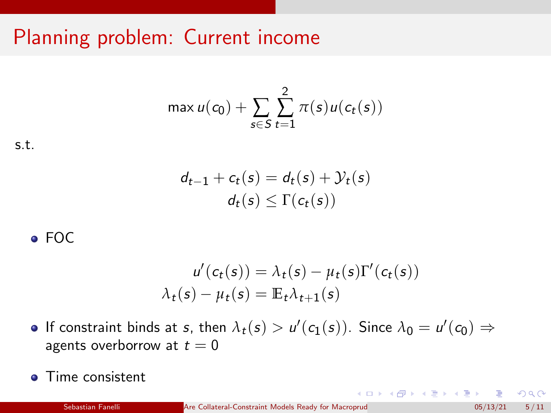## Planning problem: Current income

$$
\max u(c_0) + \sum_{s \in S} \sum_{t=1}^2 \pi(s) u(c_t(s))
$$

s.t.

$$
d_{t-1} + c_t(s) = d_t(s) + \mathcal{Y}_t(s)
$$
  

$$
d_t(s) \leq \Gamma(c_t(s))
$$

#### $\bullet$  FOC

$$
u'(c_t(s)) = \lambda_t(s) - \mu_t(s)\Gamma'(c_t(s))
$$
  

$$
\lambda_t(s) - \mu_t(s) = \mathbb{E}_t \lambda_{t+1}(s)
$$

- If constraint binds at *s*, then  $\lambda_t(s) > u'(c_1(s))$ . Since  $\lambda_0 = u'(c_0) \Rightarrow$ agents overborrow at  $t = 0$
- **O** Time consistent

 $\Omega$ 

K ロ ▶ K 御 ▶ K 君 ▶ K 君 ▶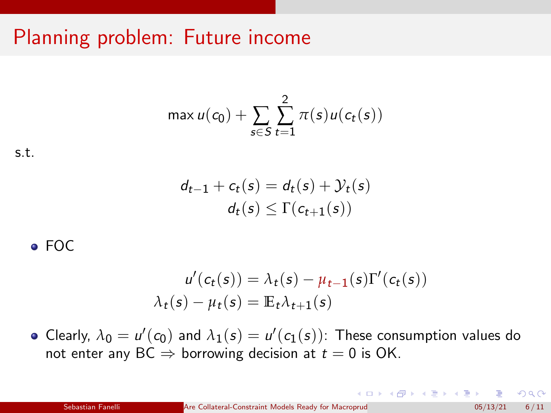## Planning problem: Future income

$$
\max u(c_0) + \sum_{s \in S} \sum_{t=1}^2 \pi(s) u(c_t(s))
$$

$$
\text{s.t.} \quad
$$

$$
d_{t-1} + c_t(s) = d_t(s) + \mathcal{Y}_t(s)
$$
  

$$
d_t(s) \leq \Gamma(c_{t+1}(s))
$$

#### $\bullet$  FOC

$$
u'(c_t(s)) = \lambda_t(s) - \mu_{t-1}(s)\Gamma'(c_t(s))
$$
  

$$
\lambda_t(s) - \mu_t(s) = \mathbb{E}_t \lambda_{t+1}(s)
$$

Clearly,  $\lambda_0 = u'(c_0)$  and  $\lambda_1(s) = u'(c_1(s))$ : These consumption values do not enter any  $BC \Rightarrow$  borrowing decision at  $t = 0$  is OK.

 $QQ$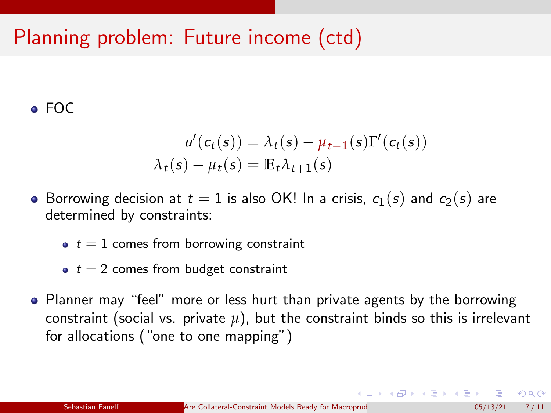## Planning problem: Future income (ctd)

#### FOC

$$
u'(c_t(s)) = \lambda_t(s) - \mu_{t-1}(s)\Gamma'(c_t(s))
$$

$$
\lambda_t(s) - \mu_t(s) = \mathbb{E}_t \lambda_{t+1}(s)
$$

- Borrowing decision at  $t = 1$  is also OK! In a crisis,  $c_1(s)$  and  $c_2(s)$  are determined by constraints:
	- $\bullet$   $t = 1$  comes from borrowing constraint
	- $\bullet$   $t = 2$  comes from budget constraint
- Planner may "feel" more or less hurt than private agents by the borrowing constraint (social vs. private  $\mu$ ), but the constraint binds so this is irrelevant for allocations ("one to one mapping")

 $\Omega$ 

イロト イ押 トイヨ トイヨト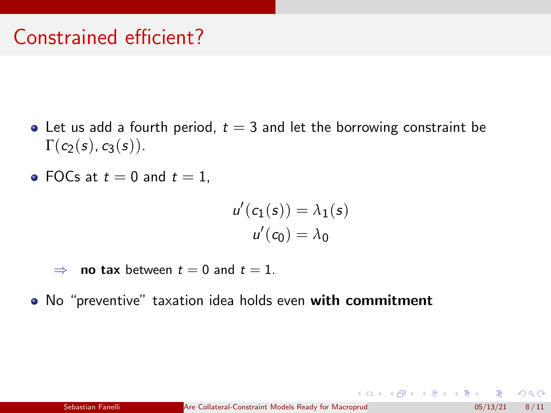## Constrained efficient?

- Let us add a fourth period,  $t = 3$  and let the borrowing constraint be  $\Gamma(c_2(s), c_3(s))$ .
- FOCs at  $t = 0$  and  $t = 1$ ,

$$
u'(c_1(s)) = \lambda_1(s)
$$

$$
u'(c_0) = \lambda_0
$$

- $\Rightarrow$  no tax between  $t = 0$  and  $t = 1$ .
- No "preventive" taxation idea holds even with commitment

 $\Omega$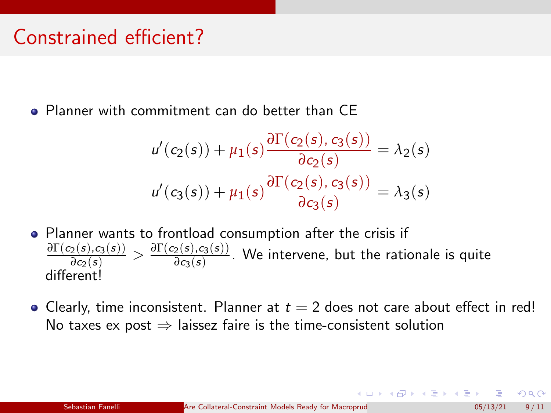### Constrained efficient?

Planner with commitment can do better than CE

$$
u'(c_2(s)) + \mu_1(s) \frac{\partial \Gamma(c_2(s), c_3(s))}{\partial c_2(s)} = \lambda_2(s)
$$
  

$$
u'(c_3(s)) + \mu_1(s) \frac{\partial \Gamma(c_2(s), c_3(s))}{\partial c_3(s)} = \lambda_3(s)
$$

- Planner wants to frontload consumption after the crisis if  $\frac{\partial \Gamma(c_2(s),c_3(s))}{\partial c_2(s)} > \frac{\partial \Gamma(c_2(s),c_3(s))}{\partial c_3(s)}$  $\frac{2^{(3)} \cdot 2^{(3)} \cdot 1}{\partial c_3(s)}$ . We intervene, but the rationale is quite different<sup>1</sup>
- Clearly, time inconsistent. Planner at  $t = 2$  does not care about effect in red! No taxes ex post  $\Rightarrow$  laissez faire is the time-consistent solution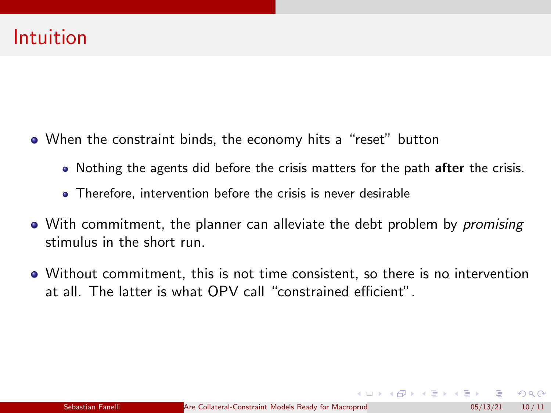- When the constraint binds, the economy hits a "reset" button
	- Nothing the agents did before the crisis matters for the path after the crisis.
	- Therefore, intervention before the crisis is never desirable
- With commitment, the planner can alleviate the debt problem by *promising* stimulus in the short run.
- Without commitment, this is not time consistent, so there is no intervention at all. The latter is what OPV call "constrained efficient".

 $\Omega$